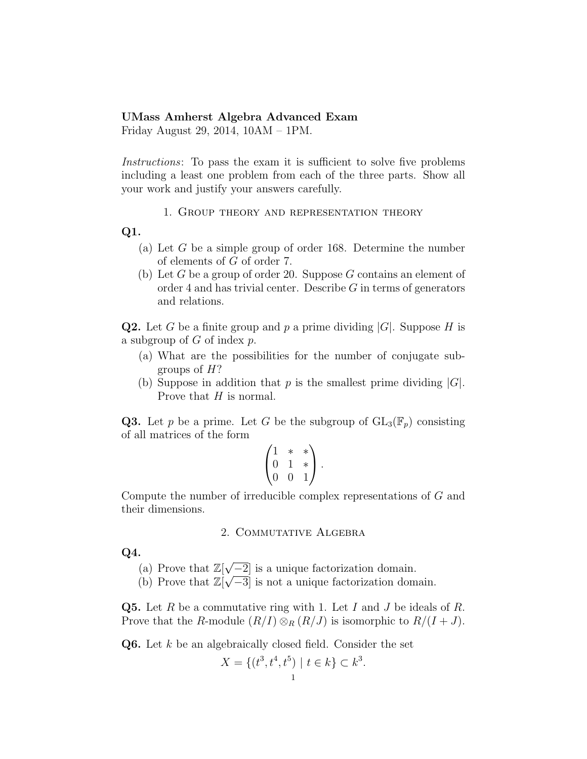## UMass Amherst Algebra Advanced Exam

Friday August 29, 2014, 10AM – 1PM.

Instructions: To pass the exam it is sufficient to solve five problems including a least one problem from each of the three parts. Show all your work and justify your answers carefully.

1. Group theory and representation theory

## Q1.

- (a) Let G be a simple group of order 168. Determine the number of elements of G of order 7.
- (b) Let  $G$  be a group of order 20. Suppose  $G$  contains an element of order 4 and has trivial center. Describe  $G$  in terms of generators and relations.

**Q2.** Let G be a finite group and p a prime dividing  $|G|$ . Suppose H is a subgroup of  $G$  of index  $p$ .

- (a) What are the possibilities for the number of conjugate subgroups of  $H$ ?
- (b) Suppose in addition that p is the smallest prime dividing  $|G|$ . Prove that H is normal.

**Q3.** Let p be a prime. Let G be the subgroup of  $GL_3(\mathbb{F}_p)$  consisting of all matrices of the form

$$
\begin{pmatrix} 1 & * & * \\ 0 & 1 & * \\ 0 & 0 & 1 \end{pmatrix}.
$$

Compute the number of irreducible complex representations of G and their dimensions.

## 2. Commutative Algebra

Q4.

- $(a)$  Prove that  $\mathbb{Z}[\sqrt{a}]$  $\sqrt{-2}$  is a unique factorization domain.
- (b) Prove that  $\mathbb{Z}[\sqrt{-3}]$  is not a unique factorization domain.

**Q5.** Let R be a commutative ring with 1. Let I and J be ideals of R. Prove that the R-module  $(R/I) \otimes_R (R/J)$  is isomorphic to  $R/(I+J)$ .

Q6. Let k be an algebraically closed field. Consider the set

$$
X = \{(t^3, t^4, t^5) \mid t \in k\} \subset k^3.
$$